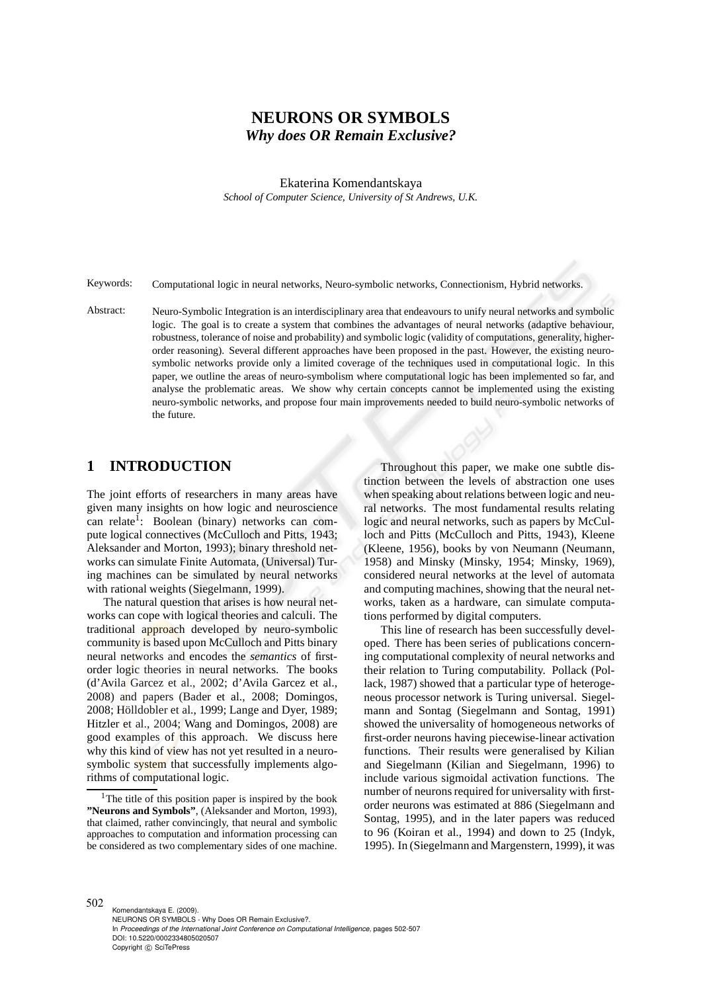# **NEURONS OR SYMBOLS** *Why does OR Remain Exclusive?*

Ekaterina Komendantskaya

*School of Computer Science, University of St Andrews, U.K.*

Keywords: Computational logic in neural networks, Neuro-symbolic networks, Connectionism, Hybrid networks.

Abstract: Neuro-Symbolic Integration is an interdisciplinary area that endeavours to unify neural networks and symbolic logic. The goal is to create a system that combines the advantages of neural networks (adaptive behaviour, robustness, tolerance of noise and probability) and symbolic logic (validity of computations, generality, higherorder reasoning). Several different approaches have been proposed in the past. However, the existing neurosymbolic networks provide only a limited coverage of the techniques used in computational logic. In this paper, we outline the areas of neuro-symbolism where computational logic has been implemented so far, and analyse the problematic areas. We show why certain concepts cannot be implemented using the existing neuro-symbolic networks, and propose four main improvements needed to build neuro-symbolic networks of the future.

### **1 INTRODUCTION**

The joint efforts of researchers in many areas have given many insights on how logic and neuroscience can relate<sup>1</sup>: Boolean (binary) networks can compute logical connectives (McCulloch and Pitts, 1943; Aleksander and Morton, 1993); binary threshold networks can simulate Finite Automata, (Universal) Turing machines can be simulated by neural networks with rational weights (Siegelmann, 1999).

The natural question that arises is how neural networks can cope with logical theories and calculi. The traditional approach developed by neuro-symbolic community is based upon McCulloch and Pitts binary neural networks and encodes the *semantics* of firstorder logic theories in neural networks. The books (d'Avila Garcez et al., 2002; d'Avila Garcez et al., 2008) and papers (Bader et al., 2008; Domingos, 2008; Hölldobler et al., 1999; Lange and Dyer, 1989; Hitzler et al., 2004; Wang and Domingos, 2008) are good examples of this approach. We discuss here why this kind of view has not yet resulted in a neurosymbolic system that successfully implements algorithms of computational logic.

Throughout this paper, we make one subtle distinction between the levels of abstraction one uses when speaking about relations between logic and neural networks. The most fundamental results relating logic and neural networks, such as papers by McCulloch and Pitts (McCulloch and Pitts, 1943), Kleene (Kleene, 1956), books by von Neumann (Neumann, 1958) and Minsky (Minsky, 1954; Minsky, 1969), considered neural networks at the level of automata and computing machines, showing that the neural networks, taken as a hardware, can simulate computations performed by digital computers.

This line of research has been successfully developed. There has been series of publications concerning computational complexity of neural networks and their relation to Turing computability. Pollack (Pollack, 1987) showed that a particular type of heterogeneous processor network is Turing universal. Siegelmann and Sontag (Siegelmann and Sontag, 1991) showed the universality of homogeneous networks of first-order neurons having piecewise-linear activation functions. Their results were generalised by Kilian and Siegelmann (Kilian and Siegelmann, 1996) to include various sigmoidal activation functions. The number of neurons required for universality with firstorder neurons was estimated at 886 (Siegelmann and Sontag, 1995), and in the later papers was reduced to 96 (Koiran et al., 1994) and down to 25 (Indyk, 1995). In (Siegelmann and Margenstern, 1999), it was

<sup>&</sup>lt;sup>1</sup>The title of this position paper is inspired by the book **"Neurons and Symbols"**, (Aleksander and Morton, 1993), that claimed, rather convincingly, that neural and symbolic approaches to computation and information processing can be considered as two complementary sides of one machine.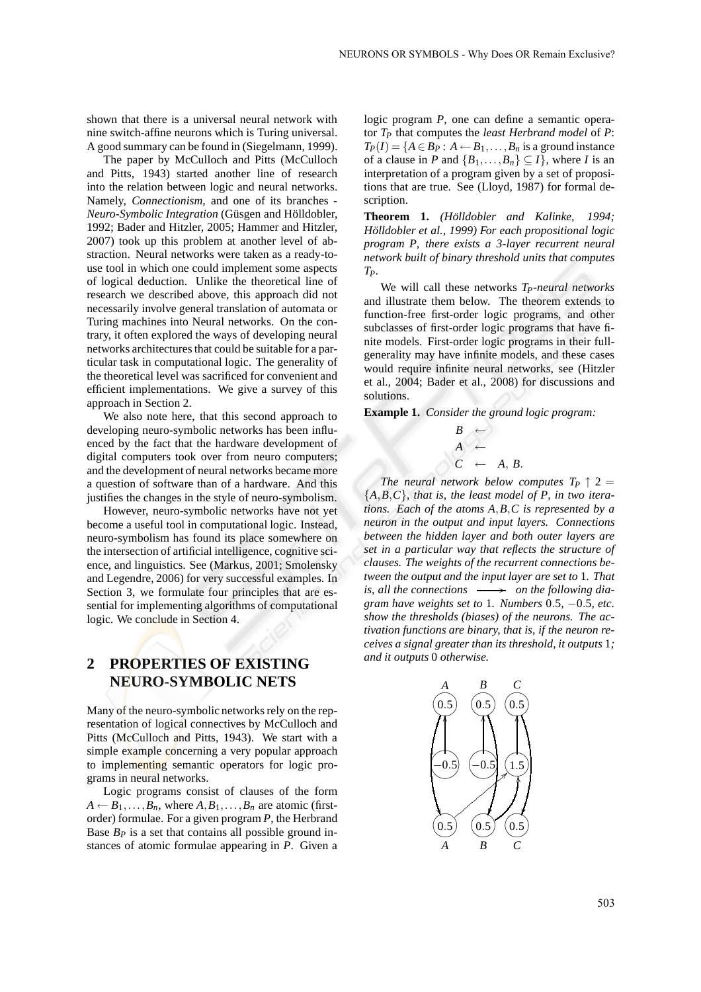shown that there is a universal neural network with nine switch-affine neurons which is Turing universal. A good summary can be found in (Siegelmann, 1999).

The paper by McCulloch and Pitts (McCulloch and Pitts, 1943) started another line of research into the relation between logic and neural networks. Namely, *Connectionism*, and one of its branches - *Neuro-Symbolic Integration* (Güsgen and Hölldobler, 1992; Bader and Hitzler, 2005; Hammer and Hitzler, 2007) took up this problem at another level of abstraction. Neural networks were taken as a ready-touse tool in which one could implement some aspects of logical deduction. Unlike the theoretical line of research we described above, this approach did not necessarily involve general translation of automata or Turing machines into Neural networks. On the contrary, it often explored the ways of developing neural networks architectures that could be suitable for a particular task in computational logic. The generality of the theoretical level was sacrificed for convenient and efficient implementations. We give a survey of this approach in Section 2.

We also note here, that this second approach to developing neuro-symbolic networks has been influenced by the fact that the hardware development of digital computers took over from neuro computers; and the development of neural networks became more a question of software than of a hardware. And this justifies the changes in the style of neuro-symbolism.

However, neuro-symbolic networks have not yet become a useful tool in computational logic. Instead, neuro-symbolism has found its place somewhere on the intersection of artificial intelligence, cognitive science, and linguistics. See (Markus, 2001; Smolensky and Legendre, 2006) for very successful examples. In Section 3, we formulate four principles that are essential for implementing algorithms of computational logic. We conclude in Section 4.

# **2 PROPERTIES OF EXISTING NEURO-SYMBOLIC NETS**

Many of the neuro-symbolic networks rely on the representation of logical connectives by McCulloch and Pitts (McCulloch and Pitts, 1943). We start with a simple example concerning a very popular approach to implementing semantic operators for logic programs in neural networks.

Logic programs consist of clauses of the form  $A \leftarrow B_1, \ldots, B_n$ , where  $A, B_1, \ldots, B_n$  are atomic (firstorder) formulae. For a given program *P*, the Herbrand Base  $B_P$  is a set that contains all possible ground instances of atomic formulae appearing in *P*. Given a logic program *P*, one can define a semantic operator *T<sup>P</sup>* that computes the *least Herbrand model* of *P*:  $T_P(I) = \{A \in B_P : A \leftarrow B_1, \ldots, B_n \text{ is a ground instance}\}$ of a clause in *P* and  $\{B_1, \ldots, B_n\} \subseteq I\}$ , where *I* is an interpretation of a program given by a set of propositions that are true. See (Lloyd, 1987) for formal description.

**Theorem 1.** *(Holldobler and Kalinke, 1994; ¨ Hölldobler et al., 1999) For each propositional logic program P, there exists a 3-layer recurrent neural network built of binary threshold units that computes TP.*

We will call these networks *TP-neural networks* and illustrate them below. The theorem extends to function-free first-order logic programs, and other subclasses of first-order logic programs that have finite models. First-order logic programs in their fullgenerality may have infinite models, and these cases would require infinite neural networks, see (Hitzler et al., 2004; Bader et al., 2008) for discussions and solutions.

**Example 1.** *Consider the ground logic program:*

$$
\begin{array}{ccc}\nB & \leftarrow & \\
A & \leftarrow & \\
C & \leftarrow & A, B.\n\end{array}
$$

*The neural network below computes*  $T_P \uparrow 2 =$ {*A*,*B*,*C*}*, that is, the least model of P, in two iterations. Each of the atoms A*,*B*,*C is represented by a neuron in the output and input layers. Connections between the hidden layer and both outer layers are set in a particular way that reflects the structure of clauses. The weights of the recurrent connections between the output and the input layer are set to* 1*. That*  $is, all the connections \longrightarrow on the following *dia*$ *gram have weights set to* 1*. Numbers* 0.5*,* −0.5*, etc. show the thresholds (biases) of the neurons. The activation functions are binary, that is, if the neuron receives a signal greater than its threshold, it outputs* 1*; and it outputs* 0 *otherwise.*

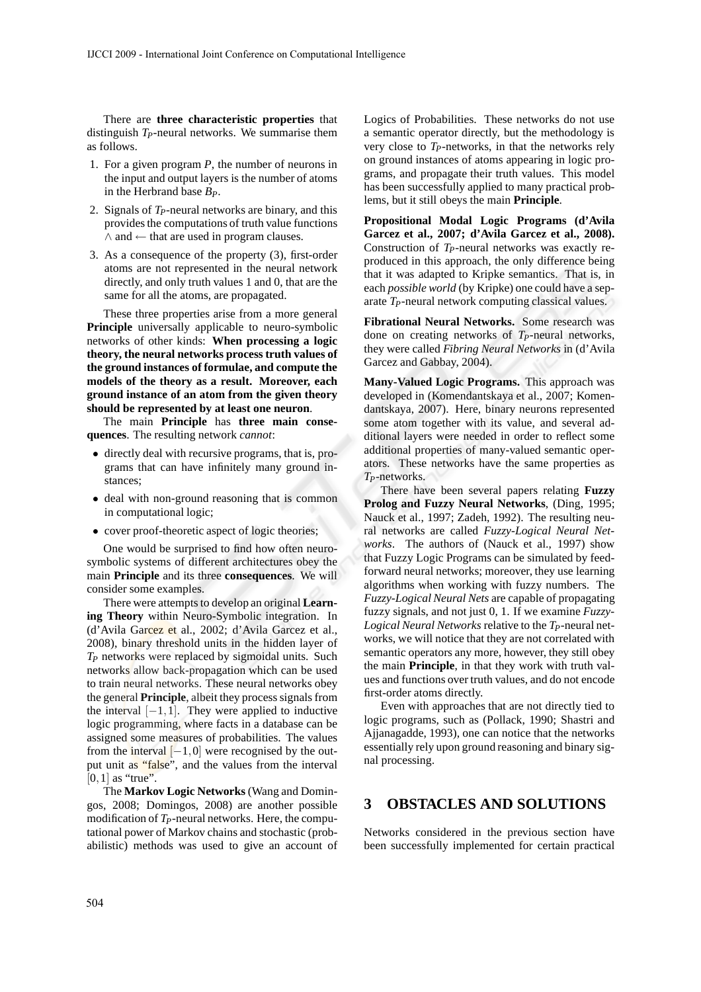There are **three characteristic properties** that distinguish *TP*-neural networks. We summarise them as follows.

- 1. For a given program *P*, the number of neurons in the input and output layers is the number of atoms in the Herbrand base *BP*.
- 2. Signals of *TP*-neural networks are binary, and this provides the computations of truth value functions  $\land$  and  $\leftarrow$  that are used in program clauses.
- 3. As a consequence of the property (3), first-order atoms are not represented in the neural network directly, and only truth values 1 and 0, that are the same for all the atoms, are propagated.

These three properties arise from a more general **Principle** universally applicable to neuro-symbolic networks of other kinds: **When processing a logic theory, the neural networks process truth values of the ground instances of formulae, and compute the models of the theory as a result. Moreover, each ground instance of an atom from the given theory should be represented by at least one neuron**.

The main **Principle** has **three main consequences**. The resulting network *cannot*:

- directly deal with recursive programs, that is, programs that can have infinitely many ground instances;
- deal with non-ground reasoning that is common in computational logic;
- cover proof-theoretic aspect of logic theories;

One would be surprised to find how often neurosymbolic systems of different architectures obey the main **Principle** and its three **consequences**. We will consider some examples.

There were attempts to develop an original **Learning Theory** within Neuro-Symbolic integration. In (d'Avila Garcez et al., 2002; d'Avila Garcez et al., 2008), binary threshold units in the hidden layer of *T<sup>P</sup>* networks were replaced by sigmoidal units. Such networks allow back-propagation which can be used to train neural networks. These neural networks obey the general **Principle**, albeit they process signals from the interval  $[-1,1]$ . They were applied to inductive logic programming, where facts in a database can be assigned some measures of probabilities. The values from the interval  $[-1,0]$  were recognised by the output unit as "false", and the values from the interval  $[0,1]$  as "true".

The **Markov Logic Networks** (Wang and Domingos, 2008; Domingos, 2008) are another possible modification of *TP*-neural networks. Here, the computational power of Markov chains and stochastic (probabilistic) methods was used to give an account of Logics of Probabilities. These networks do not use a semantic operator directly, but the methodology is very close to *TP*-networks, in that the networks rely on ground instances of atoms appearing in logic programs, and propagate their truth values. This model has been successfully applied to many practical problems, but it still obeys the main **Principle**.

**Propositional Modal Logic Programs (d'Avila Garcez et al., 2007; d'Avila Garcez et al., 2008).** Construction of *TP*-neural networks was exactly reproduced in this approach, the only difference being that it was adapted to Kripke semantics. That is, in each *possible world* (by Kripke) one could have a separate *TP*-neural network computing classical values.

**Fibrational Neural Networks.** Some research was done on creating networks of *TP*-neural networks, they were called *Fibring Neural Networks* in (d'Avila Garcez and Gabbay, 2004).

**Many-Valued Logic Programs.** This approach was developed in (Komendantskaya et al., 2007; Komendantskaya, 2007). Here, binary neurons represented some atom together with its value, and several additional layers were needed in order to reflect some additional properties of many-valued semantic operators. These networks have the same properties as *TP*-networks.

There have been several papers relating **Fuzzy Prolog and Fuzzy Neural Networks**, (Ding, 1995; Nauck et al., 1997; Zadeh, 1992). The resulting neural networks are called *Fuzzy-Logical Neural Networks*. The authors of (Nauck et al., 1997) show that Fuzzy Logic Programs can be simulated by feedforward neural networks; moreover, they use learning algorithms when working with fuzzy numbers. The *Fuzzy-Logical Neural Nets* are capable of propagating fuzzy signals, and not just 0, 1. If we examine *Fuzzy-Logical Neural Networks* relative to the *TP*-neural networks, we will notice that they are not correlated with semantic operators any more, however, they still obey the main **Principle**, in that they work with truth values and functions over truth values, and do not encode first-order atoms directly.

Even with approaches that are not directly tied to logic programs, such as (Pollack, 1990; Shastri and Ajjanagadde, 1993), one can notice that the networks essentially rely upon ground reasoning and binary signal processing.

### **3 OBSTACLES AND SOLUTIONS**

Networks considered in the previous section have been successfully implemented for certain practical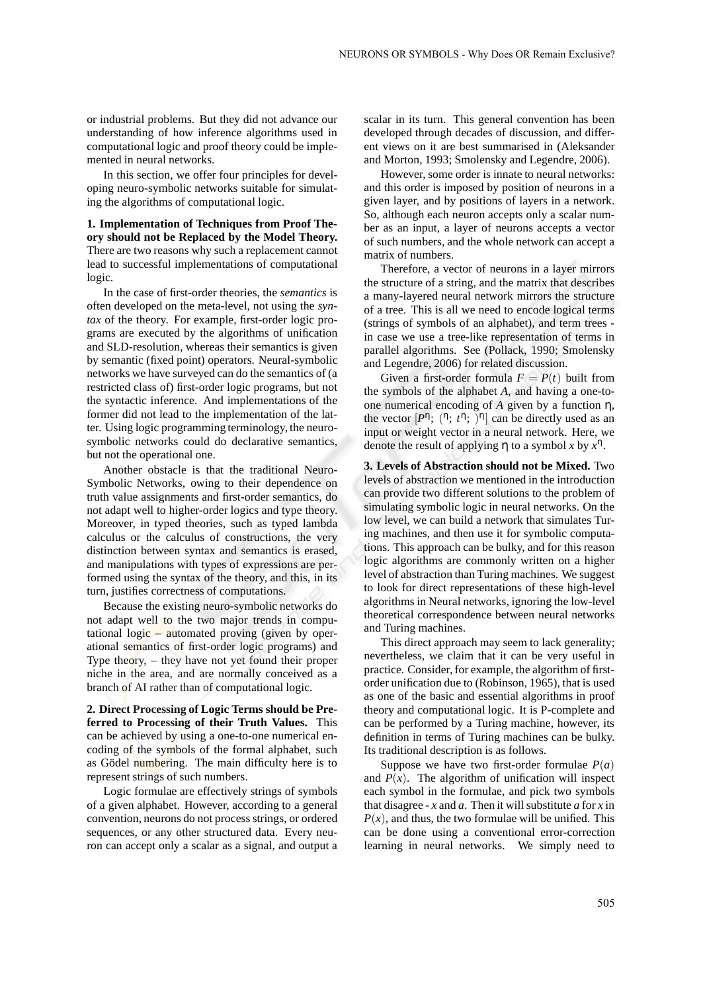or industrial problems. But they did not advance our understanding of how inference algorithms used in computational logic and proof theory could be implemented in neural networks.

In this section, we offer four principles for developing neuro-symbolic networks suitable for simulating the algorithms of computational logic.

**1. Implementation of Techniques from Proof Theory should not be Replaced by the Model Theory.** There are two reasons why such a replacement cannot lead to successful implementations of computational logic.

In the case of first-order theories, the *semantics* is often developed on the meta-level, not using the *syntax* of the theory. For example, first-order logic programs are executed by the algorithms of unification and SLD-resolution, whereas their semantics is given by semantic (fixed point) operators. Neural-symbolic networks we have surveyed can do the semantics of (a restricted class of) first-order logic programs, but not the syntactic inference. And implementations of the former did not lead to the implementation of the latter. Using logic programming terminology, the neurosymbolic networks could do declarative semantics, but not the operational one.

Another obstacle is that the traditional Neuro-Symbolic Networks, owing to their dependence on truth value assignments and first-order semantics, do not adapt well to higher-order logics and type theory. Moreover, in typed theories, such as typed lambda calculus or the calculus of constructions, the very distinction between syntax and semantics is erased, and manipulations with types of expressions are performed using the syntax of the theory, and this, in its turn, justifies correctness of computations.

Because the existing neuro-symbolic networks do not adapt well to the two major trends in computational logic – automated proving (given by operational semantics of first-order logic programs) and Type theory, – they have not yet found their proper niche in the area, and are normally conceived as a branch of AI rather than of computational logic.

**2. Direct Processing of Logic Terms should be Preferred to Processing of their Truth Values.** This can be achieved by using a one-to-one numerical encoding of the symbols of the formal alphabet, such as Gödel numbering. The main difficulty here is to represent strings of such numbers.

Logic formulae are effectively strings of symbols of a given alphabet. However, according to a general convention, neurons do not process strings, or ordered sequences, or any other structured data. Every neuron can accept only a scalar as a signal, and output a scalar in its turn. This general convention has been developed through decades of discussion, and different views on it are best summarised in (Aleksander and Morton, 1993; Smolensky and Legendre, 2006).

However, some order is innate to neural networks: and this order is imposed by position of neurons in a given layer, and by positions of layers in a network. So, although each neuron accepts only a scalar number as an input, a layer of neurons accepts a vector of such numbers, and the whole network can accept a matrix of numbers.

Therefore, a vector of neurons in a layer mirrors the structure of a string, and the matrix that describes a many-layered neural network mirrors the structure of a tree. This is all we need to encode logical terms (strings of symbols of an alphabet), and term trees in case we use a tree-like representation of terms in parallel algorithms. See (Pollack, 1990; Smolensky and Legendre, 2006) for related discussion.

Given a first-order formula  $F = P(t)$  built from the symbols of the alphabet *A*, and having a one-toone numerical encoding of *A* given by a function η, the vector  $[P^{\eta}; (T; t^{\eta}; \bar{I})^{\eta}]$  can be directly used as an input or weight vector in a neural network. Here, we denote the result of applying η to a symbol *x* by *x* η .

**3. Levels of Abstraction should not be Mixed.** Two levels of abstraction we mentioned in the introduction can provide two different solutions to the problem of simulating symbolic logic in neural networks. On the low level, we can build a network that simulates Turing machines, and then use it for symbolic computations. This approach can be bulky, and for this reason logic algorithms are commonly written on a higher level of abstraction than Turing machines. We suggest to look for direct representations of these high-level algorithms in Neural networks, ignoring the low-level theoretical correspondence between neural networks and Turing machines.

This direct approach may seem to lack generality; nevertheless, we claim that it can be very useful in practice. Consider, for example, the algorithm of firstorder unification due to (Robinson, 1965), that is used as one of the basic and essential algorithms in proof theory and computational logic. It is P-complete and can be performed by a Turing machine, however, its definition in terms of Turing machines can be bulky. Its traditional description is as follows.

Suppose we have two first-order formulae  $P(a)$ and  $P(x)$ . The algorithm of unification will inspect each symbol in the formulae, and pick two symbols that disagree - *x* and *a*. Then it will substitute *a* for *x* in  $P(x)$ , and thus, the two formulae will be unified. This can be done using a conventional error-correction learning in neural networks. We simply need to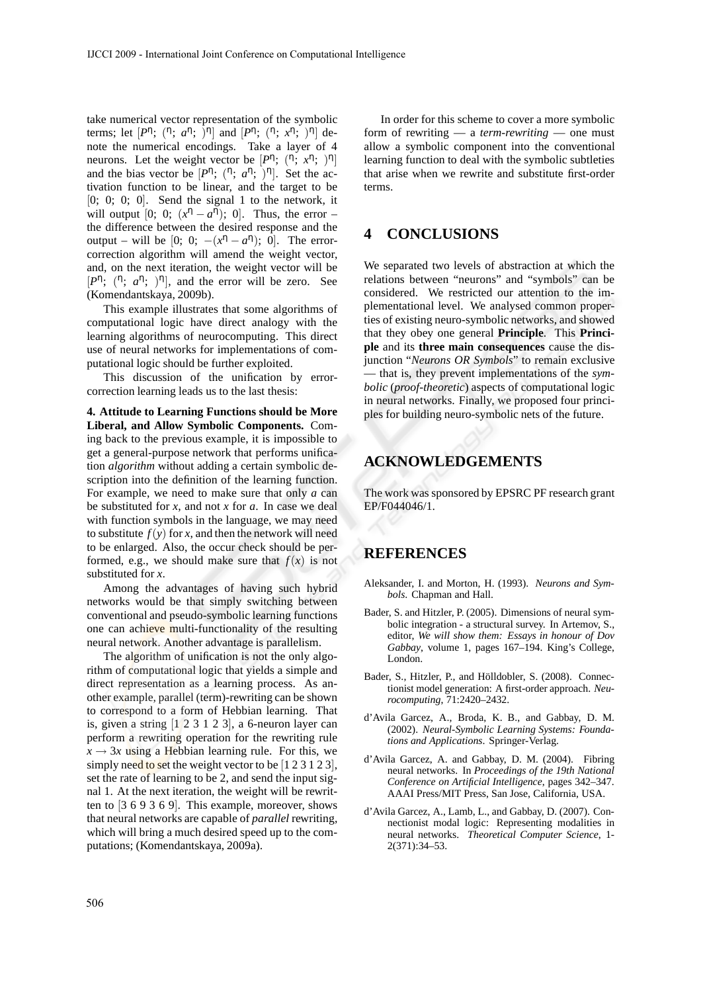take numerical vector representation of the symbolic terms; let  $[P^{\eta}$ ;  $(\eta; a^{\eta}; \bar{)}^{\eta}]$  and  $[P^{\eta}; (\eta; x^{\eta}; \bar{)}^{\eta}]$  denote the numerical encodings. Take a layer of 4 neurons. Let the weight vector be  $[P^{\eta}; (T; x^{\eta}; )^{\eta}]$ and the bias vector be  $[P^{\eta}; (^{\eta}; a^{\eta}; )^{\eta}]$ . Set the activation function to be linear, and the target to be  $[0; 0; 0; 0]$ . Send the signal 1 to the network, it will output [0; 0;  $(x^n - a^n)$ ; 0]. Thus, the error – the difference between the desired response and the output – will be [0; 0;  $-(x^n - a^n)$ ; 0]. The errorcorrection algorithm will amend the weight vector, and, on the next iteration, the weight vector will be  $[P<sup>n</sup>; (n; a<sup>n</sup>; )<sup>n</sup>]$ , and the error will be zero. See (Komendantskaya, 2009b).

This example illustrates that some algorithms of computational logic have direct analogy with the learning algorithms of neurocomputing. This direct use of neural networks for implementations of computational logic should be further exploited.

This discussion of the unification by errorcorrection learning leads us to the last thesis:

**4. Attitude to Learning Functions should be More Liberal, and Allow Symbolic Components.** Coming back to the previous example, it is impossible to get a general-purpose network that performs unification *algorithm* without adding a certain symbolic description into the definition of the learning function. For example, we need to make sure that only *a* can be substituted for *x*, and not *x* for *a*. In case we deal with function symbols in the language, we may need to substitute  $f(y)$  for *x*, and then the network will need to be enlarged. Also, the occur check should be performed, e.g., we should make sure that  $f(x)$  is not substituted for *x*.

Among the advantages of having such hybrid networks would be that simply switching between conventional and pseudo-symbolic learning functions one can achieve multi-functionality of the resulting neural network. Another advantage is parallelism.

The algorithm of unification is not the only algorithm of computational logic that yields a simple and direct representation as a learning process. As another example, parallel (term)-rewriting can be shown to correspond to a form of Hebbian learning. That is, given a string  $\begin{bmatrix} 1 & 2 & 3 & 1 & 2 & 3 \end{bmatrix}$ , a 6-neuron layer can perform a rewriting operation for the rewriting rule  $x \rightarrow 3x$  using a Hebbian learning rule. For this, we simply need to set the weight vector to be  $[1 2 3 1 2 3]$ , set the rate of learning to be 2, and send the input signal 1. At the next iteration, the weight will be rewritten to [3 6 9 3 6 9]. This example, moreover, shows that neural networks are capable of *parallel* rewriting, which will bring a much desired speed up to the computations; (Komendantskaya, 2009a).

In order for this scheme to cover a more symbolic form of rewriting — a *term-rewriting* — one must allow a symbolic component into the conventional learning function to deal with the symbolic subtleties that arise when we rewrite and substitute first-order terms.

## **4 CONCLUSIONS**

We separated two levels of abstraction at which the relations between "neurons" and "symbols" can be considered. We restricted our attention to the implementational level. We analysed common properties of existing neuro-symbolic networks, and showed that they obey one general **Principle**. This **Principle** and its **three main consequences** cause the disjunction "*Neurons OR Symbols*" to remain exclusive — that is, they prevent implementations of the *symbolic* (*proof-theoretic*) aspects of computational logic in neural networks. Finally, we proposed four principles for building neuro-symbolic nets of the future.

## **ACKNOWLEDGEMENTS**

The work was sponsored by EPSRC PF research grant EP/F044046/1.

### **REFERENCES**

- Aleksander, I. and Morton, H. (1993). *Neurons and Symbols*. Chapman and Hall.
- Bader, S. and Hitzler, P. (2005). Dimensions of neural symbolic integration - a structural survey. In Artemov, S., editor, *We will show them: Essays in honour of Dov Gabbay*, volume 1, pages 167–194. King's College, London.
- Bader, S., Hitzler, P., and Hölldobler, S. (2008). Connectionist model generation: A first-order approach. *Neurocomputing*, 71:2420–2432.
- d'Avila Garcez, A., Broda, K. B., and Gabbay, D. M. (2002). *Neural-Symbolic Learning Systems: Foundations and Applications*. Springer-Verlag.
- d'Avila Garcez, A. and Gabbay, D. M. (2004). Fibring neural networks. In *Proceedings of the 19th National Conference on Artificial Intelligence*, pages 342–347. AAAI Press/MIT Press, San Jose, California, USA.
- d'Avila Garcez, A., Lamb, L., and Gabbay, D. (2007). Connectionist modal logic: Representing modalities in neural networks. *Theoretical Computer Science*, 1- 2(371):34–53.